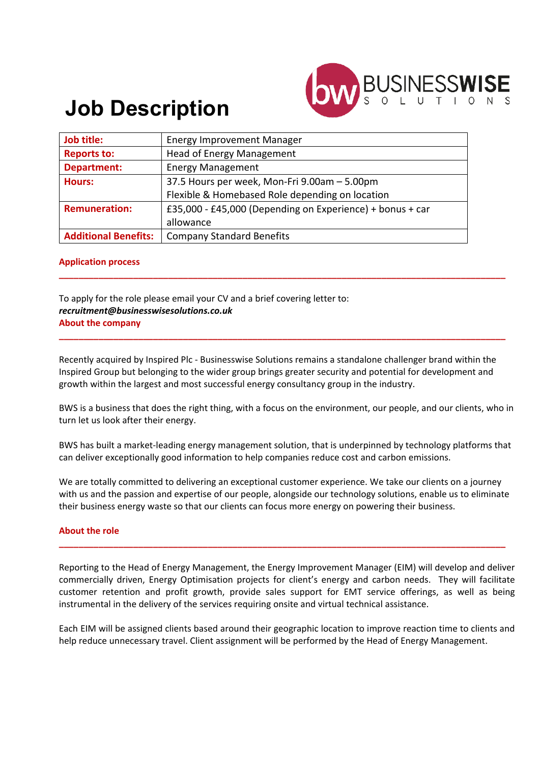

# **Job Description**

| Job title:                  | <b>Energy Improvement Manager</b>                         |
|-----------------------------|-----------------------------------------------------------|
| <b>Reports to:</b>          | <b>Head of Energy Management</b>                          |
| <b>Department:</b>          | <b>Energy Management</b>                                  |
| <b>Hours:</b>               | 37.5 Hours per week, Mon-Fri 9.00am - 5.00pm              |
|                             | Flexible & Homebased Role depending on location           |
| <b>Remuneration:</b>        | £35,000 - £45,000 (Depending on Experience) + bonus + car |
|                             | allowance                                                 |
| <b>Additional Benefits:</b> | <b>Company Standard Benefits</b>                          |

#### **Application process**

To apply for the role please email your CV and a brief covering letter to: *recruitment@businesswisesolutions.co.uk* **About the company**

Recently acquired by Inspired Plc - Businesswise Solutions remains a standalone challenger brand within the Inspired Group but belonging to the wider group brings greater security and potential for development and growth within the largest and most successful energy consultancy group in the industry.

**\_\_\_\_\_\_\_\_\_\_\_\_\_\_\_\_\_\_\_\_\_\_\_\_\_\_\_\_\_\_\_\_\_\_\_\_\_\_\_\_\_\_\_\_\_\_\_\_\_\_\_\_\_\_\_\_\_\_\_\_\_\_\_\_\_\_\_\_\_\_\_\_\_\_\_\_\_\_\_\_\_\_\_\_\_\_\_\_\_\_**

**\_\_\_\_\_\_\_\_\_\_\_\_\_\_\_\_\_\_\_\_\_\_\_\_\_\_\_\_\_\_\_\_\_\_\_\_\_\_\_\_\_\_\_\_\_\_\_\_\_\_\_\_\_\_\_\_\_\_\_\_\_\_\_\_\_\_\_\_\_\_\_\_\_\_\_\_\_\_\_\_\_\_\_\_\_\_\_\_\_\_**

BWS is a business that does the right thing, with a focus on the environment, our people, and our clients, who in turn let us look after their energy.

BWS has built a market-leading energy management solution, that is underpinned by technology platforms that can deliver exceptionally good information to help companies reduce cost and carbon emissions.

We are totally committed to delivering an exceptional customer experience. We take our clients on a journey with us and the passion and expertise of our people, alongside our technology solutions, enable us to eliminate their business energy waste so that our clients can focus more energy on powering their business.

**\_\_\_\_\_\_\_\_\_\_\_\_\_\_\_\_\_\_\_\_\_\_\_\_\_\_\_\_\_\_\_\_\_\_\_\_\_\_\_\_\_\_\_\_\_\_\_\_\_\_\_\_\_\_\_\_\_\_\_\_\_\_\_\_\_\_\_\_\_\_\_\_\_\_\_\_\_\_\_\_\_\_\_\_\_\_\_\_\_\_**

#### **About the role**

Reporting to the Head of Energy Management, the Energy Improvement Manager (EIM) will develop and deliver commercially driven, Energy Optimisation projects for client's energy and carbon needs. They will facilitate customer retention and profit growth, provide sales support for EMT service offerings, as well as being instrumental in the delivery of the services requiring onsite and virtual technical assistance.

Each EIM will be assigned clients based around their geographic location to improve reaction time to clients and help reduce unnecessary travel. Client assignment will be performed by the Head of Energy Management.